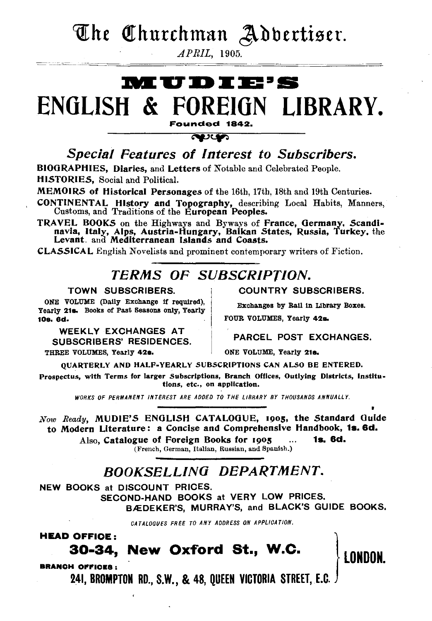### The Churchman Adbertiser.

 $APRIL$ , 1905.

### **MUDIE'S** ENGLISH & FOREIGN LIBRARY. Founded 1842.

**RUST** Special Features of Interest to Subscribers.

BIOGRAPHIES, Diaries, and Letters of Notable and Celebrated People. HISTORIES, Social and Political.

MEMOIRS of Historical Personages of the 16th, 17th, 18th and 19th Centuries.

CONTINENTAL History and Topography, describing Local Habits, Manners, Customs, and Traditions of the European Peoples.

TRAVEL BOOKS on the Highways and Byways of France, Germany, Scandinavia, Italy, Alps, Austria-Hungary, Baikan States, Russia, Turkey, the Levant. and Mediterranean Islands and Coasts.

**CLASSICAL** English Novelists and prominent contemporary writers of Fiction.

### **TERMS OF SUBSCRIPTION.**

#### TOWN SUBSCRIBERS.

ONE VOLUME (Daily Exchange if required), Yearly 21s. Books of Past Seasons only, Yearly 10s. 6d.

**WEEKLY EXCHANGES AT SUBSCRIBERS' RESIDENCES.** THREE VOLUMES, Yearly 42s.

**COUNTRY SUBSCRIBERS.** 

Exchanges by Rail in Library Boxes.

FOUR VOLUMES, Yearly 42s.

#### PARCEL POST EXCHANGES.

ONE VOLUME. Yearly 21s.

QUARTERLY AND HALF-YEARLY SUBSCRIPTIONS CAN ALSO BE ENTERED.

Prospectus, with Terms for larger Subscriptions, Branch Offices, Outlying Districts, Institutions, etc., on application.

WORKS OF PERMANENT INTEREST ARE ADDED TO THE LIBRARY BY THOUSANDS ANNUALLY.

Now Ready, MUDIE'S ENGLISH CATALOGUE, 1905, the Standard Guide to Modern Literature: a Concise and Comprehensive Handbook, 1s. 6d. 1s. 6d.

Also, Catalogue of Foreign Books for 1905  $\ddotsc$ 

(French, German, Italian, Russian, and Spanish.)

### **BOOKSELLING DEPARTMENT.**

NEW BOOKS at DISCOUNT PRICES.

SECOND-HAND BOOKS at VERY LOW PRICES. BÆDEKER'S, MURRAY'S, and BLACK'S GUIDE BOOKS.

CATALOGUES FREE TO ANY ADDRESS ON APPLICATION.

**HEAD OFFICE:** 

### 30-34, New Oxford St., W.C.

**BRANCH OFFICES:** 

241, BROMPTON RD., S.W., & 48, QUEEN VICTORIA STREET, E.C.

**LONDON**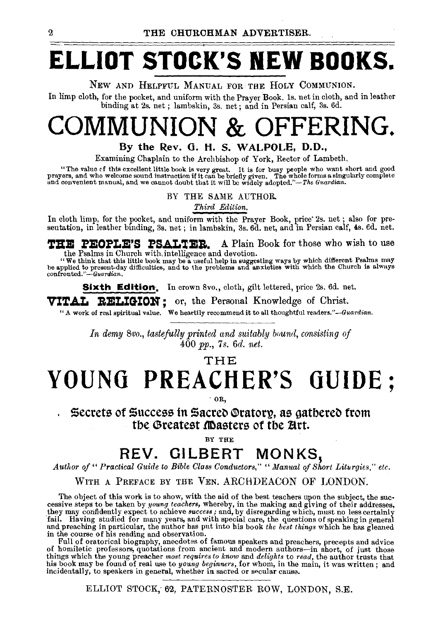# **ELLIOT STOCK'S NEW BOOKS.**

#### NEw AND HELPFUL MANUAL FOR THE HoLY CoMMUNION.

In limp cloth, for the pocket, and uniform with the Prayer Book. ls. net in cloth, and in leather binding at 2s. net ; lambskin, 3s. net; and in Persian calf, 3s. 6d.

## **COMMUNION & OFFERING.**

#### By the Rev. G. H. S. WALPOLE, D.D.,

Examining Chaplain to the Archbishop of York, Rector of Lambeth.

"The value of this excellent little book is very great. It is for busy people who want short and good prayers, and who welcome sound instruction if it can be briefly given. The whole forms a singularly complete and conven

BY THE SAME AUTHOR.

*Third Edition.* 

In cloth limp, for the pocket, and uniform with the Prayer Book, price 2s. net; also for presentation, in leather binding, 3s. net; in lambskin, 3s. 6d. net, and in Persian calf, 4s. 6d. net.

**THE PEOPLE'S PSALTER.** A Plain Book for those who wish to use the Psalms in Church with intelligence and devotion.

the Psalms in Church with intelligence and devotion.<br>
"We think that this little book may be a useful help in suggesting ways by which different Psalms may<br>
be applied to present day difficulties, and to the problems and

**Sixth Edition.** In crown 8vo., cloth, gilt lettered, price 2s. 6d. net.

**VITAL: RELIGION ;** or, the Personal Knowledge of Christ. " A work of real spiritual value. We heartily recommend it to all thoughtful readers." *-Guardian.* 

*In demy 8vo., tastefully printed and suitably bound, consisting of*  400 *pp.,* 7 *s.* 6d. *net.* 

**THE** 

# **YOUNG PREACHER'S GUIDE;**

·OR,

#### **Secrets of Success in Sacred Oratory, as gathered from** the Greatest **M**asters of the Art.

BY THE

### **REV. GILBERT MONKS,**

*Author of" Practical Guide to Bible Class Conductors," "Manual of Short Liturgies," etc.* 

#### WITH A PREFACE BY THE VEN. ARCHDEACON OF LONDON.

The object of this work is to show, with the aid of the best teachers upon the subject, the suc- cessive steps to be taken by *young teachers,* whereby, in the making and giving of their addresses, they may confidently expect to achieve success; and, by disregarding which, must no less certainly fail. Having studied for many years, and with special care, the questions of speaking in general and preaching in particula in the course of his reading and observation.

Full of oratorical biography, anecdotes of famous speakers and preachers, precepts and advice of homiletic professors, quotations from ancient and modern authors-in short, of just those things which the young preacher *most requires to know* and *delights* to *read,* the author trusts that his book may be fouud of real use to *young beginners,* for whom, in the main, it was written; and incidentally, to speakers in general, whether in sacred or secular cause.

ELLIOT STOCK, 62, PATERNOSTER ROW, LONDON, S.E.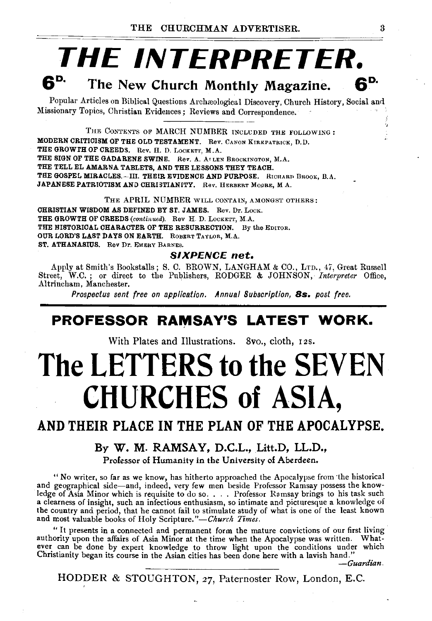# **THE INTERPRETER.**<br>6<sup>p.</sup> The New Church Mentium Mentium of

**The New Church Monthly Magazine.** 

Popular Articles on Biblical Questions Archreological Discovery, Church History, Social and 1.1issionary Topics, Christian Evidences ; Reviews and Correspondence.

THE CONTENTS OF MARCH NUMBER INCLUDED THE FOLLOWING: MODERN CRITICISM OF THE OLD TESTAMENT. Rev. CANON KIRKPATRICK, D. D. THE GROWTH OF CREEDS. Rev. H. D. LOCKETT, M.A. THE SIGN OF THE GADARENE SWINE. Rev. A. ATLEN BROCKINGTON, M.A. THE TELL EL AMARNA TABLETS, AND THE LESSONS THEY TEACH. THE GOSPEL MIRACLES.-III. THEIR EVIDENCE AND PURPOSE. RICRARD BROOK, B.A. JAPANESE PATRIOTISM AND CHRISTIANITY. Rev. HERBERT MOORE, M A.

THE APRIL NUMBER WILL CONTAIN, AMONGST OTHERS:

CHRISTIAN WISDOM AS DEFINED BY Sr. JAMES. Rev. Dr. LocK. THE GROWTH OF CREEDS (continued). Rev H. D. LOCKETT, M.A. THE HISTORICAL CHARACTER OF THE RESURRECTION. By the EDITOR. OUR LORD'S LAST DAYS ON EARTH. RoBERT TAYLOR, M.A. ST. ATHANASIUS. Rev Dr. EMERY BARNES.

#### **SIXPENCE** *net.*

Apply at Smith's Bookstalls; S. C. BROWN, LANGHAM & CO., LTD., 47, Great Russell Street, W.C.; or direct to the Publishers, RODGER & JOHNSON, *Interpreter* Office, Altrincham, Manchester.

*Prospectus sent free on application. Annual Subscription,* **Bs.** *post free.* 

#### **PROFESSOR RAMSAY'S LATEST WORK.**

With Plates and Illustrations. 8vo., cloth, r *zs.* 

# **The LETTERS to the SEVEN CHURCHES of ASIA,**

#### **AND THEIR PLACE IN THE PLAN OF THE APOCALYPSE.**

#### **By W. M. RAMSAY, D.C.L., Litt.D, LL.D.,**

Professor of Humanity in the University of Aberdeen.

"No writer, so far as we know, has hitherto approached the Apocalypse from ·the historical and geographical side-and, indeed, very few men beside Professor Ramsay possess the knowledge of Asia Minor which is requisite to do so .... Professor Ramsay brings to his task such a clearness of insight, such an infectious enthusiasm, so intimate and picturesque a knowledge of the country and period, that he cannot fail to stimulate study of what is one of the least known and most valuable books of Holy Scripture."-Church Times.

"It presents in a connected and permanent form the mature convictions of our first living ever can be done by expert knowledge to throw light upon the conditions under which Christianity began its course in the Asian cities has been done here with a lavish hand."

*-Guardian.* 

HODDER & STOUGHTON, 27, Paternoster Row, London, E.C.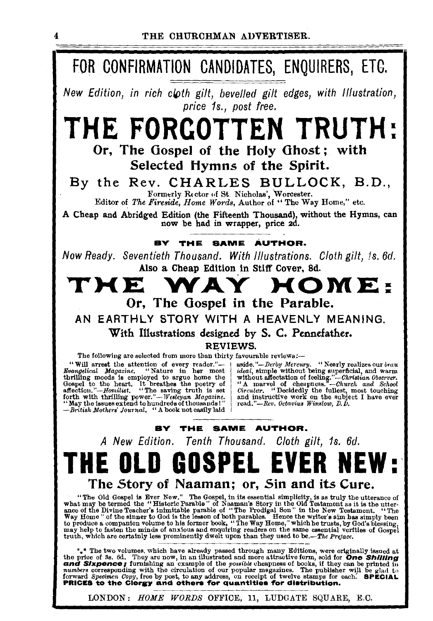### FOR CONFIRMATION CANDIDATES, ENQUIRERS, ETC.

New Edition, in rich cloth gilt, bevelled gilt edges, with Illustration, price 1s., post free.

### **THE FORCOTTEN TRUTH** Or, The Gospel of the Holy Ghost; with

Selected Hymns of the Spirit.

By the Rev. CHARLES BULLOCK. B.D..

Formerly Rector of St. Nicholas', Worcester. Editor of The Fireside, Home Words, Author of "The Way Home," etc.

A Cheap and Abridged Edition (the Fifteenth Thousand), without the Hymns, can now be had in wrapper, price 2d.

#### BY THE SAME AUTHOR.

Now Ready. Seventieth Thousand. With Illustrations. Cloth gilt, is. 6d. Also a Cheap Edition in Stiff Cover, 8d.

#### т н е HOME.  $\mathbf{A}$ Or, The Gospel in the Parable.

AN EARTHLY STORY WITH A HEAVENLY MEANING. With Illustrations designed by S. C. Pennefather.

**REVIEWS.** 

The following are selected from more than thirty favourable reviews:-

"Will arrest the attention of every reader."-Bvangelical Magazine. "Nature in her most Bourgetted magnetary consistent in the must<br>the distribution of the heart, it breathes the poetry of<br>depel to the heart, it breathes the poetry of<br>affection."—Homilits. "The saving truth is set<br>forth with thrilling power." -British Mothers' Journal, "A book not easily laid

 $\boldsymbol{4}$ 

assumment of the Mercury. "Nearly realizes our beaution."<br>
Saide."-Derby Mercury. "Nearly realizes our beaution of feeling."-Christian Observer.<br>
"A marvel of cheapness."-Christian Observer.<br>
"A marvel of cheapness."-Chri read."-Rev. Octavius Winslow, D.D.

#### BY THE SAME AUTHOR.

A New Edition. Tenth Thousand. Cloth gilt, 1s. 6d.

### **THE OLD GOSPEL EVE** The Story of Naaman; or, Sin and its Cure.

"The Old Gospel is Ever New." The Gospel, in its essential simplicity, is as truly the utterance of what may be termed the "Historic Parable" of Naaman's Story in the Old Testament as it is the utterance of the Divine Tea

\*\* The two volumes, which have already passed through many Editions, were originally issued at the price of 3s. 6d. They are now, in an illustrated and more attractive form, sold for **One Shilling** an cample of the *possi* 

LONDON: HOME WORDS OFFICE, 11, LUDGATE SQUARE, E.C.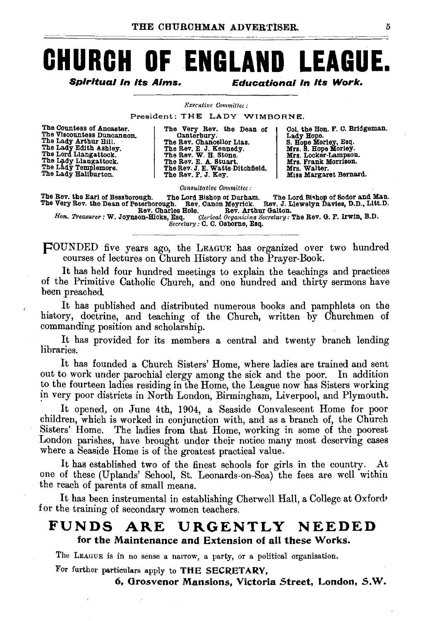# **CHURCH OF ENGLAND LEAGUE.**

Spiritual In its Alms. Educational In Its Work.

#### *Executive Committee :*

President: THE LADY WIMBORNE.

The Countess of Ancaster. The Viscountess Duncannon.<br>The Lady Arthur Hill.<br>The Lady Edith Ashley.<br>The Lord Llangattock. The Lady Llangattock. The Lady Templemore. The Lady Templemore.

The Very Rev. the Dean of Canterbury. Canterbury. The Rev. Chancellor Lias. The Rev. E. J. Kennedy.<br>The Rev. W. H. Stone.<br>The Rev. J. E. Watts-Ditchfield.<br>The Rev. F. J. Key.

Col. the Hon. F. C. Bridgeman.<br>Lady Hope.<br>S. Hope Morley, Esq.<br>Mrs. S. Hope Morley.<br>Mrs. Locker-Lampson.<br>Mrs. Frank Morrison.<br>Mrs. Walter. \_\_ Miss Margaret Bernard.

*Consultative Committee:* 

The Rev. the Earl of Bess borough. The Lord Bishop *ot* Durham. The Lord Bi•hop of Sodor and Man. The Very Rev. the Dean of Peterborough. Rev. Canon Meyriok. Rev. J. Llewelyn Davies, D.D., Litt.D.

Rev. Charles Hole. Rev. Arthur Galton. *Hon. Treasurer:* W. Joynson-Hicks, Esq. *Clerical Organizina Secreta>·y:* The Rev. G. F. Irwin, B.D. *Secretary:* C. C. Osborne, Esq.

pOUNDED five years ago, the LEAGUE has organized over two hundred courses of lectures on Church History and the Prayer-Book.

It has held four hundred meetings to explain the teachings and practices of the Primitive Catholic Church, and one hundred and thirty sermons have been preached.

It has published and distributed numerous books and pamphlets on the history, doctrine, and teaching of the Church, written by Churchmen of commanding position and scholarship.

It has provided for its members a central and twenty branch lending libraries.

It has founded a Church Sisters' Home, where ladies are trained and sent out to work under parochial clergy among the sick and the poor. In addition to the fourteen ladies residing in the Home, the League now has Sisters working in very poor districts in North London, Birmingham, Liverpool, and Plymouth.

It opened, on June 4th, 1904, a Seaside Convalescent Home for poor children, which is worked in conjunction with, and as a branch of, the Church Sisters' Home. The ladies from that Home, working in some of the poorest London parishes, have brought under their notice many most deserving cases where a Seaside Home is of the greatest practical value.

It has established two of the finest schools for girls in the country. At one of these (Uplands' School, St. Leonards-on-Sea) the fees are well within the reach of parents of small means.

It has been instrumental in establishing Cherwell Hall, a College at Oxford• for the training of secondary women teachers.

#### FUNDS ARE URGENTLY NEEDED for the Maintenance and Extension of all these Works.

The LEAGUE is in no sense a narrow, a party, or a political organisation.

For further particulars apply to THE SECRETARY,

6, Grosvenor Mansions, Victoria Street, London, S.W.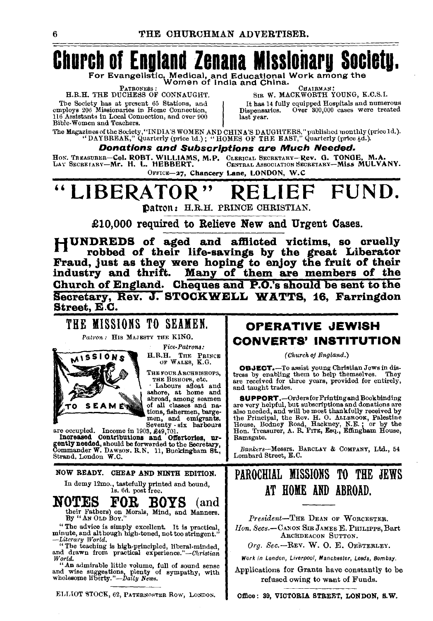## **Church of England Zenana Mlsslonaru Socletu.**

For Evangelistic, Medical, and Educational Work among the<br>PATRONESS: Women of India and China.

EXTRONESS: CHAIRMAN: CHAIRMAN: THE DUCHESS OF CONNAUGHT. SIR W. MACKWORTH YOUNG, K.C.S.I.

PATRONESS: WELL PRICE IS THE DUCHESS OF CONNAUGHT.<br>The Society has at present 65 Stations, and line of the Society has at present 65 Stations, and lines employs 206 Missionaries in Home Connection, 116 Assistants in Local Connection, and over 900 Bible-Women and Teachers.

It has 14 fully equipped Hospitals and numerous Dispensaries. Over 300,000 cases were treated last year.

The Magazines of the Society, "INDIA'S WOMEN AND CHINA'S DAUGHTERS," published monthly (price 1d.). "<br>"DAYBREAK," Quarterly (price 1d.) ; "HOMES OF THE EAST," Quarterly (price 4d.).

Donations and Subscriptions are Much Needed.

BoN. TREASURER-Col. ROBT. WILLIAMS, M.P. CLERICAL SECRETARY-Rev. G. TONGE, M.A. LA\' SECRETARY-Mr. H. L. HEBBERT. 0ENTRALAssocrATION8EcRETARY-Miss MULVANY.

OFFICE-27, Chancery Lane, LONDON, W.C

#### " LIBERATOR" RELIEF FUND. ~atton: H.R.H. PRINCE CHRISTIAN.

 $£10,000$  required to Relieve New and Urgent Cases.

HUNDREDS of aged and afflicted victims, so cruelly robbed of their life-savings by the great Liberator Fraud, just as they were hoping to enjoy the fruit of their industry and thrift. Many of them are members of the Church of England. Cheques and P.O.'s should be sent to the Secretary, Rev. J. STOCKWELL WATTS, 16, Farringdon Street, E.C.

#### THE MISSIONS TO SEAMEN.

Patron: HIS MAJESTY THE KING.



*Vice-Patrons:*  H.R.H. TnE PRINCE OF WALES, K.G,

THE FOUR ARCHBISHOPS,<br>THE BISHOPS, etc.

THE BISHOPS, etc.<br>
I Labours afloat and ashore, at home and abroad, among seamen<br>of all classes and na-<br>tions, fishermen, barge-<br>men, and emigrants.

Seventy - six harbours<br>are occupied. Income in 1903, £49,701. Increased Contributions and Offertories, urgently needed, should be forwarded to the Secretary, Commander W. DAwson. R.N. 11, Buckingham St., Strand, London W.C.

NOW READY. CHEAP AND NINTH EDITION.

In demy 12mo., tastefully printed and bound, ls. 60.. post free.

NOTES FOR BOYS (and their Fathers) on Morals, Mind, and Manners. By "AN OLD BoY."

*:•* The advice is simpl:y excellent. It is practical, mmute, and although high. toned, not too stringent."

*-Litemry World.*  " The teaching is hlgh.principled, !iberal·minded, and drawn from practical experience."-Christian *Wortd.* 

"An admirable little volume, full of sound sense and wise suggestions, plenty of sympathy, with wholesome liberty. *"-Daily News.* 

ELLIOT STOCK, 62, PATERNOSTER ROW, LONDON.

#### OPERATIVE JEWISH CONVERTS' INSTITUTION

*(Church of England.)* 

OBJECT.-To assist young Christian Jews in dis· tress by enabling them to help themselves. They are received for three years, provided for entirely, and taught trades.

**SUPPORT.** --Ordersfor Printing and Bookbinding<br>are very helpful, but subscriptions and donations are<br>also needed, and will be most thankfully received by<br>the Principal, the Rov. H. O. ALLEROOK, Palestine<br>House, Bodney Roa Ramsgate.

*Bankers-Messrs.* BARCLAY & COMPANY, Ltd., 54 Lombard Street, E. C.

### PAROCHIAL MISSIONS TO THE JEWS AT HOME AND ABROAD.

*President-THE* DEAN OF WoRcESTER. *lion. Secs.-CANON* Sm JAMES E. PHILIPPS, Bart ARCHDEACON SUTTON.

Org. Sec.-REV. W. O. E. OESTERLEY.

Work in London, Liverpool, Manchester, Leeds, Bombay.

Applications for Grants have constantly to be refused owing to want of Funds.

Office: 39, VICTORIA STREET, LONDON, S.W.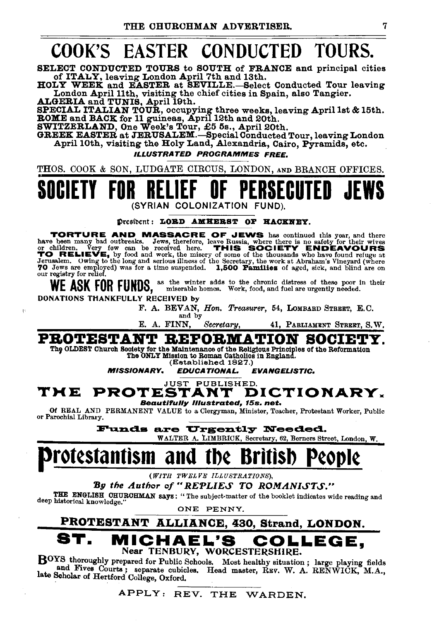### COOK'S EASTER CONDUCTED TOURS.

SELECT CONDUCTED TOURS to SOUTH of FRANCE and principal cities of ITALY, leaving London April 7th and 13th.

HOLY WEEK and EASTER at SEVILLE.-Select Conducted Tour leaving London April 11th, visiting the chief cities in Spain, also Tangier.<br>ALGERIA and TUNIS, April 19th.

SPECIAL ITALIAN TOUR, occupying three weeks, leaving April 1st & 15th.<br>ROME and BACK for 11 guineas, April 12th and 20th.<br>SWITZERLAND, One Week's Tour, £5 5s., April 20th.<br>GREEK EASTER at JERUSALEM.—Special Conducted Tour,

April 10th, visiting the Holy Land, Alexandria, Cairo, Pyramids, etc.

#### ILLUSTRATED PROGRAMMES FREE.

THOS. COOK & SON, LUDGATE CIRCUS, LONDON, AND BRANCH OFFICES.

### SOCIETY FOR RELIEF OF PERSECUTED JEWS (SYRIAN COLONIZATION

Presibent: LORD AMHERST OF HACKNEY.

TORTURE AND MASSACRE OF JEWS has continued this year, and there have been many bad outbreaks. Jews, therefore, leave Russia, where there is no safety for their wives or children. Very few can be received here. THIS SOCIETY ENDEAVOURS TO RELIEVE, by food and work, the misery of some of the thousands who have found refuge at Jerusalem. Owing to the long and serious illness of the Secretary, the work at Abraham's Vineyard (where 70 Jews are employed) was for a time suspended. 1,500 Families of aged, sick, and blind are on our registry for relief.

WE ASK FOR FUNDS, as the winter adds to the chronic distress of these poor in their<br>work, food, and fuel are urgently needed.

DONATIONS THANKFULLY RECEIVED by

F. A. BEVAN, *Hon. Treasurer,* 54, LOMBARD STREET, E.C. and by

E. A. FINN, *Secretary*, 41, PARLIAMENT STREET, S.W.

PROTESTANT REFORMATION SOCIET

Thp OLDEST Church Society for the Maintenance of the Religious Principles of the Reformation The ONLY Mission to Roman Catholics in England.

(Established 1827.)<br>**EDUCATIONAL.** 

MISSIONARY. EDUCATIONAL. EVANGELISTIC.

### THE PROTESTANT DICTIONARY. THE PROTESTANT DICTIONARY.<br>
of REAL AND PERMANENT VALUE to a Clergyman, Minister, Teacher, Protestant Worker, Public<br>
or Parochial Library.

Funds are Urgently Needed.

### WALTER A. LIMBRICK, Secretary, 62, Berners Street, London, W.

### rot¢stantism and tb¢ B

*(WITH 1'WEL VE ILLUSTRATIONS),* 

By the Author of "REPLIES TO ROMANISTS."

THE ENGLISH CHURCHMAN says: "The subject-matter of the booklet indicates wide reading and deep historical knowledge."

ONE PENNY.

### PROTESTANT ALLIANCE, 430, Strand, LONDON. MICHAEL'S COLLEGE.

#### Near TENBURY, WORCESTERSHIRE.

BOYS thoroughly prepared for Public Schools. Most healthy situation; large playing fields and Fives Courts; separate cubicles. Head master, REV. W. A. RENWICK, M.A., late Scholar of Hertford College, Oxford,

APPLY: REV. THE WARDEN.